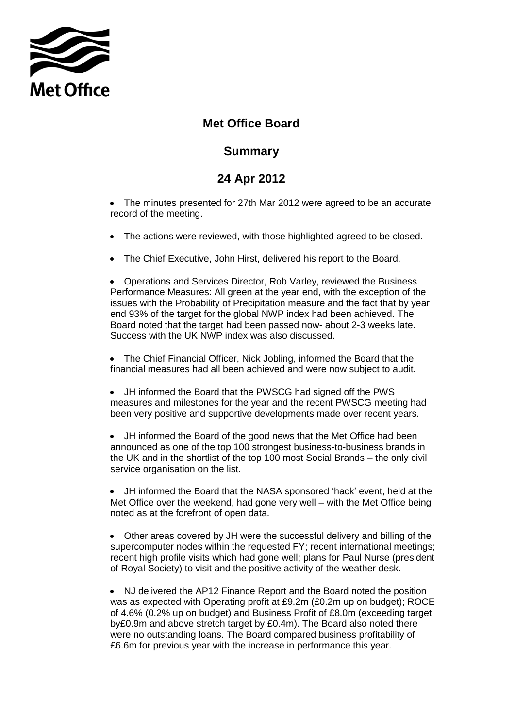

## **Met Office Board**

## **Summary**

## **24 Apr 2012**

 The minutes presented for 27th Mar 2012 were agreed to be an accurate record of the meeting.

- The actions were reviewed, with those highlighted agreed to be closed.
- The Chief Executive, John Hirst, delivered his report to the Board.

 Operations and Services Director, Rob Varley, reviewed the Business Performance Measures: All green at the year end, with the exception of the issues with the Probability of Precipitation measure and the fact that by year end 93% of the target for the global NWP index had been achieved. The Board noted that the target had been passed now- about 2-3 weeks late. Success with the UK NWP index was also discussed.

 The Chief Financial Officer, Nick Jobling, informed the Board that the financial measures had all been achieved and were now subject to audit.

 JH informed the Board that the PWSCG had signed off the PWS measures and milestones for the year and the recent PWSCG meeting had been very positive and supportive developments made over recent years.

 JH informed the Board of the good news that the Met Office had been announced as one of the top 100 strongest business-to-business brands in the UK and in the shortlist of the top 100 most Social Brands – the only civil service organisation on the list.

 JH informed the Board that the NASA sponsored 'hack' event, held at the Met Office over the weekend, had gone very well – with the Met Office being noted as at the forefront of open data.

 Other areas covered by JH were the successful delivery and billing of the supercomputer nodes within the requested FY; recent international meetings; recent high profile visits which had gone well; plans for Paul Nurse (president of Royal Society) to visit and the positive activity of the weather desk.

 NJ delivered the AP12 Finance Report and the Board noted the position was as expected with Operating profit at £9.2m (£0.2m up on budget); ROCE of 4.6% (0.2% up on budget) and Business Profit of £8.0m (exceeding target by£0.9m and above stretch target by £0.4m). The Board also noted there were no outstanding loans. The Board compared business profitability of £6.6m for previous year with the increase in performance this year.